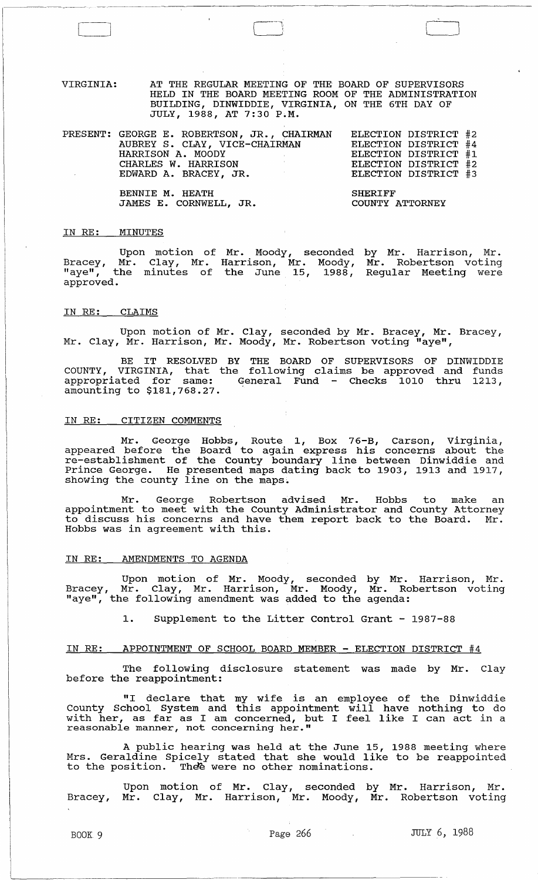VIRGINIA: AT THE REGULAR MEETING OF THE BOARD OF SUPERVISORS HELD IN THE BOARD MEETING ROOM OF THE ADMINISTRATION BUILDING, DINWIDDIE, VIRGINIA, ON THE 6TH DAY OF JULY, 1988, AT 7:30 P.M.

-~---.~.~-------~----~~-~~--~-~~---------

| PRESENT: GEORGE E. ROBERTSON, JR., CHAIRMAN<br>AUBREY S. CLAY, VICE-CHAIRMAN<br>HARRISON A. MOODY<br>the contract of the contract of the contract of<br>CHARLES W. HARRISON<br>EDWARD A. BRACEY, JR.<br>and the state of the state of the | ELECTION DISTRICT #2<br>ELECTION DISTRICT #4<br>ELECTION DISTRICT #1<br>ELECTION DISTRICT #2<br>ELECTION DISTRICT #3 |  |
|-------------------------------------------------------------------------------------------------------------------------------------------------------------------------------------------------------------------------------------------|----------------------------------------------------------------------------------------------------------------------|--|
|                                                                                                                                                                                                                                           |                                                                                                                      |  |

BENNIE M. HEATH SHERIFF JAMES E. CORNWELL, JR.

 $\rfloor$ 

### IN RE: MINUTES

Upon motion of Mr. Moody, seconded Bracey, Mr. Clay, Mr. Harrison, Mr. Moody, "aye", the minutes of the June 15, 1988, approved. by Mr. Harrison, Mr. Mr. Robertson voting Regular Meeting were

# IN RE: CLAIMS

Upon motion of Mr. Clay, seconded by Mr. Bracey, Mr. Bracey, Mr. Clay, Mr. Harrison, Mr. Moody, Mr. Robertson voting "aye",

BE IT RESOLVED BY THE BOARD OF SUPERVISORS OF DINWIDDIE COUNTY, VIRGINIA, that the following claims be approved and funds appropriated for same: General Fund - Checks 1010 thru 1213, amounting to \$181,768.27.

### IN RE: CITIZEN COMMENTS

Mr. George Hobbs, Route 1, Box 76-B, Carson, Virginia, appeared before the Board to again express his concerns about the re-establishment of the County boundary line between Dinwiddie and Prince George. He presented maps dating back to 1903, 1913 and 1917, it inco coorgo. The presenced maps as

Mr. George Robertson advised Mr. Hobbs to make an appointment to meet with the County Administrator and County Attorney to discuss his concerns and have them report back to the Board. Mr. Hobbs was in agreement with this.

### IN RE: AMENDMENTS TO AGENDA

Upon motion of Mr. Moody, seconded by Mr. Harrison, Mr. Bracey, Mr. Clay, Mr. Harrison, Mr. Moody, Mr. Robertson voting "aye", the following amendment was added to the agenda:

1. Supplement to the Litter Control Grant - 1987-88

### IN RE: APPOINTMENT OF SCHOOL BOARD MEMBER - ELECTION DISTRICT #4

The following disclosure statement was made by Mr. Clay before the reappointment:

"I declare that my wife is an employee of the Dinwiddie County School System and this appointment will have nothing to do with her, as far as I am concerned, but I feel like I can act in a reasonable manner, not concerning her."

A public hearing was held at the June 15, 1988 meeting where Mrs. Geraldine Spicely stated that she would like to be reappointed to the position. The were no other nominations.

Bracey, Upon motion of Mr. Clay, seconded Mr. Clay, Mr. Harrison, Mr. Moody, by Mr. Harrison, Mr. Mr. Robertson voting

 $\sim 10^{-11}$ 

BOOK 9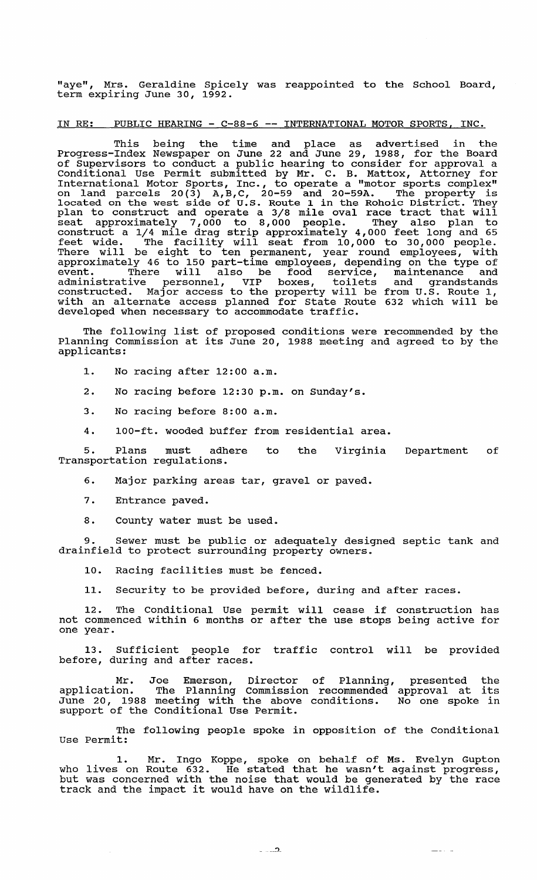"aye", Mrs. Geraldine Spicely was reappointed to the School Board, term expiring June 30, 1992.

# IN RE: PUBLIC HEARING - C-88-6 **--** INTERNATIONAL MOTOR SPORTS, INC.

This being the time and place as advertised in the Progress-Index Newspaper on June 22 and June 29, 1988, for the Board of Supervisors to conduct a public hearing to consider for approval a Conditional Use Permit submitted by Mr. C. B. Mattox, Attorney for International Motor Sports, Inc., to operate a "motor sports complex" on land parcels 20(3) A,B,C, 20-59 and 20-59A. The property is located on the west side of u.s. Route 1 in the Rohoic District. They plan to construct and operate a 3/8 mile oval race tract that will seat approximately 7,000 to 8,000 people. They also plan to construct a 1/4 mile drag strip approximately 4,000 feet long and 65 feet wide. The facility will seat from 10,000 to 30,000 people. There will be eight to ten permanent, year round employees, with approximately 46 to 150 part-time employees, depending on the type of event. There will also be food service, maintenance and administrative personnel, VIP boxes, toilets and grandstands constructed. Major access to the property will be from U.S. Route 1, with an alternate access planned for state Route 632 which will be developed when necessary to accommodate traffic.

The following list of proposed conditions were recommended by the The Torrowing Tist of proposed conditions were recommended by the<br>Planning Commission at its June 20, 1988 meeting and agreed to by the applicants:

- 1. No racing after 12:00 a.m.
- 2. No racing before 12:30 p.m. on Sunday's.
- 3. No racing before 8:00 a.m.
- 4. 100-ft. wooded buffer from residential area.

5. Plans must adhere Transportation regulations. to the Virginia Department of

- 6. Major parking areas tar, gravel or paved.
- 7. Entrance paved.
- 8. County water must be used.

9. Sewer must be public or adequately designed septic tank and drainfield to protect surrounding property owners.

10. Racing facilities must be fenced.

11. Security to be provided before, during and after races.

12. The Conditional Use permit will cease if construction has not commenced within 6 months or after the use stops being active for one year.

13. Sufficient people for traffic control will be provided before, during and after races.

Mr. Joe Emerson, Director of Planning, presented the application. The Planning Commission recommended approval at its June 20, 1988 meeting with the above conditions. No one spoke in support of the Conditional Use Permit.

The following people spoke in opposition of the Conditional Use Permit:

1. Mr. Ingo Koppe, spoke on behalf of Ms. Evelyn Gupton who lives on Route 632. He stated that he wasn't against progress, who iives on nonce oss. He searcd that he wash t against progress,<br>but was concerned with the noise that would be generated by the race<br>track and the impact it would have on the wildlife.

 $\frac{1}{2}$  and  $\frac{1}{2}$  . In the  $\frac{1}{2}$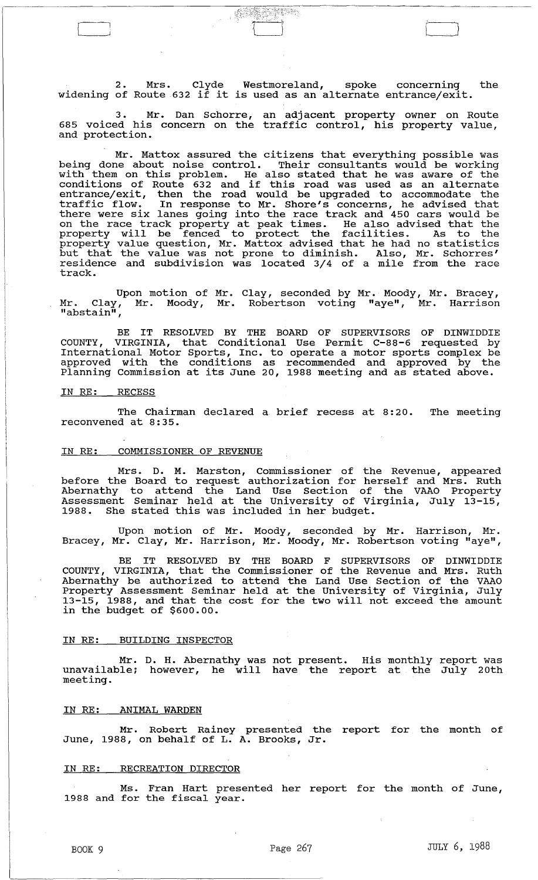2. Mrs. Clyde Westmoreland, spoke concerning the widening of Route 632 if it is used as an alternate entrance/exit.

<u>Tanggal na</u>

3. Mr. Dan Schorre, an adjacent property owner on Route 685 voiced his concern on the traffic control, his property value, and protection.

Mr. Mattox assured the citizens that everything possible was being done about noise control. Their consultants would be working being done about noise control. Their consultants would be working with them on this problem. He also stated that he was aware of the conditions of Route 632 and if this road was used as an alternate entrance/exit, then the road would be upgraded to accommodate the traffic flow. In response to Mr. Shore's concerns, he advised that there were six lanes going into the race track and 450 cars would be on the race track property at peak times. He also advised that the property will be fenced to protect the facilities. As to the property value question, Mr. Mattox advised that he had no statistics but that the value was not prone to diminish. Also, Mr. Schorres' residence and subdivision was located 3/4 of a mile from the race track.

Upon motion of Mr. Clay, seconded by Mr. Moody, Mr. Bracey, Mr. Clay, Mr. Moody, Mr. Robertson voting "aye", Mr. Harrison Mr. Clay,<br>"abstain",

BE IT RESOLVED BY THE BOARD OF SUPERVISORS OF DINWIDDIE COUNTY, VIRGINIA, that Conditional Use Permit C-88-6 requested by International Motor Sports, Inc. to operate a motor sports complex be approved with the conditions as recommended and approved by the approved with the conditions as recommended and approved by the<br>Planning Commission at its June 20, 1988 meeting and as stated above.

### IN RE: RECESS

The Chairman declared a brief recess at 8:20. reconvened at 8:35. The meeting

### IN RE: COMMISSIONER OF REVENUE

Mrs. D. M. Marston, Commissioner of the Revenue, appeared before the Board to request authorization for herself and Mrs. Ruth Abernathy to attend the Land Use Section of the VAAO Property Assessment Seminar held at the University of Virginia, July 13-15, 1988. She stated this was included in her budget.

Upon motion of Mr. Moody, seconded by Mr. Harrison, Mr. Bracey, Mr. Clay, Mr. Harrison, Mr. Moody, Mr. Robertson voting "aye",

BE IT RESOLVED BY THE BOARD F SUPERVISORS OF DINWIDDIE COUNTY, VIRGINIA, that the Commisstoner of the Revenue and Mrs. Ruth Abernathy be authorized to attend the Land Use section of the VAAO Property Assessment Seminar held at the University of Virginia, July 13-15, 1988, and that the cost for the two will not exceed the amount in the budget of \$600.00.

## IN RE: BUILDING INSPECTOR

Mr. D. H. Abernathy was not present. His monthly report was unavailable; however, he will have the report at the July 20th meeting.

### IN RE: ANIMAL WARDEN

Mr. Robert Rainey presented the report for the month of June, 1988, on behalf of L. A. Brooks, Jr.

### IN RE: RECREATION DIRECTOR

Ms. Fran Hart presented her report for the month of June, ns. Fran hard prese<br>1988 and for the fiscal year.

 $\bigcup$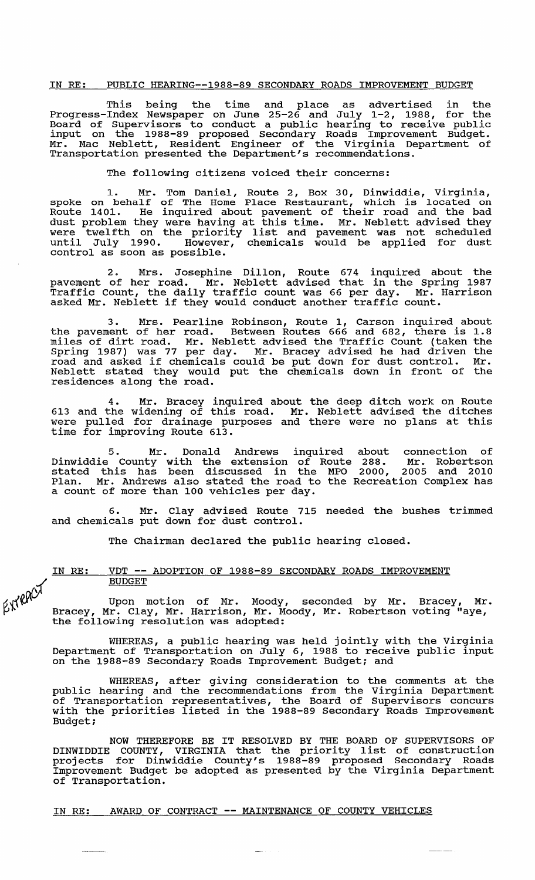### IN RE: PUBLIC HEARING--1988-89 SECONDARY ROADS IMPROVEMENT BUDGET

This being the time and place as advertised in the Progress-Index Newspaper on June 25-26 and July 1-2, 1988, for the Board of Supervisors to conduct a public hearing to receive public input on the 1988-89 proposed Secondary Roads Improvement Budget. Mr. Mac Neblett, Resident Engineer of the Virginia Department of Transportation presented the Department's recommendations.

The following citizens voiced their concerns:

1. Mr. Tom Daniel, Route 2, Box 30, Dinwiddie, Virginia, spoke on behalf of The Home Place Restaurant, which is located on Route 1401. He inquired about pavement of their road and the bad dust problem they were having at this time. Mr. Neblett advised they dust problem they were having at this time. Mr. Neblect advised they<br>were twelfth on the priority list and pavement was not scheduled until July 1990. However, chemicals would be applied for dust control as soon as possible.

2. Mrs. Josephine Dillon, Route 674 inquired about the pavement of her road. Mr. Neblett advised that in the spring 1987 pavement of her road. Hi. Nexiett advised that in the spring 1507<br>Traffic Count, the daily traffic count was 66 per day. Mr. Harrison rraiffic count, the daily traffic count was 66 per day. Mr. B<br>asked Mr. Neblett if they would conduct another traffic count.

3. Mrs. Pearline Robinson, Route 1, Carson inquired about the pavement of her road. Between Routes 666 and 682, there is 1.8 miles of dirt road. Mr. Neblett advised the Traffic Count (taken the Spring 1987) was 77 per day. Mr. Bracey advised he had driven the spring 1987, was 77 per day. Mr. Bracey advised he had driven the<br>road and asked if chemicals could be put down for dust control. Mr. Neblett stated they would put the chemicals down in front of the residences along the road.

4. Mr. Bracey inquired about the deep ditch work on Route 613 and the widening of this road. Mr. Neblett advised the ditches were pulled for drainage purposes and there were no plans at this time for improving Route 613.

5. Mr. Donald Andrews inquired about connection of Dinwiddie County with the extension of Route 288. Mr. Robertson stated this has been discussed in the MPO 2000, 2005 and 2010 Plan. Mr. Andrews also stated the road to the Recreation Complex has a count of more than 100 vehicles per day.

6. Mr. Clay advised Route 715 needed the bushes trimmed and chemicals put down for dust control.

The Chairman declared the public hearing closed.

# IN RE: VDT -- ADOPTION OF 1988-89 SECONDARY ROADS IMPROVEMENT

 $E_{\text{M}}$  $10^{110}$  Upon motion of Mr. Moody, seconded by Mr. Bracey, Mr.  $\beta_{N}$  Bracey, Mr. Clay, Mr. Harrison, Mr. Moody, Mr. Robertson voting "aye, the following resolution was adopted:

WHEREAS, a public hearing was held jointly with the Virginia Department of Transportation on July 6, 1988 to receive public input on the 1988-89 Secondary Roads Improvement Budget; and

WHEREAS, after giving consideration to the comments at the public hearing and the recommendations from the Virginia Department of Transportation representatives, the Board of Supervisors concurs with the priorities listed in the 1988-89 Secondary Roads Improvement Budget;

NOW THEREFORE BE IT RESOLVED BY THE BOARD OF SUPERVISORS OF DINWIDDIE COUNTY, VIRGINIA that the priority list of construction projects for Dinwiddie County's 1988-89 proposed Secondary Roads Improvement Budget be adopted as presented by the Virginia Department of Transportation.

IN RE: AWARD OF CONTRACT -- MAINTENANCE OF COUNTY VEHICLES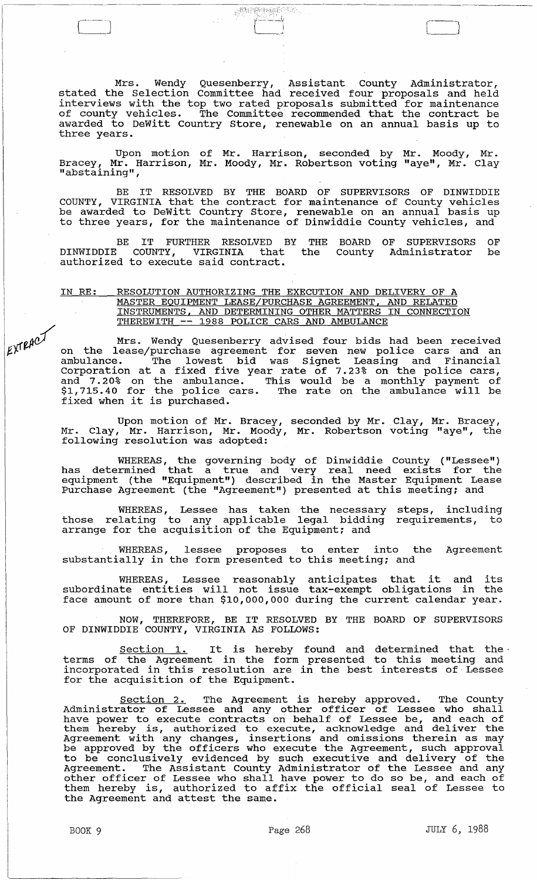Mrs. Wendy Quesenberry, Assistant county Administrator, stated the Selection committee had received four proposals and held interviews with the top two rated proposals submitted for maintenance Inservising with the cop the rated proposars submitted for maintenance of county vehicles. The Committee recommended that the contract be awarded to Dewitt Country Store, renewable on an annual basis up to three years.

**TANK STANDARD STATE** Å

Upon motion of Mr. Harrison, seconded by Mr. Moody, Mr. Bracey, Mr. Harrison, Mr. Moody, Mr. Robertson voting "aye", Mr. Clay<br>"abstaining",

BE IT RESOLVED BY THE BOARD OF SUPERVISORS OF DINWIDDIE COUNTY, VIRGINIA that the contract for maintenance of County vehicles be awarded to Dewitt country Store, renewable on an annual basis up to three years, for the maintenance of Dinwiddie County vehicles, and

BE IT FURTHER RESOLVED BY THE BE IT FURTHER RESOLVED BY THE BOARD OF SUPERVISORS<br>DINWIDDIE COUNTY, VIRGINIA that the County Administrator authorized to execute said contract. BOARD OF SUPERVISORS OF<br>County Administrator be be

# IN RE: RESOLUTION AUTHORIZING THE EXECUTION AND DELIVERY OF A MASTER EQUIPMENT LEASE/PURCHASE AGREEMENT, AND RELATED INSTRUMENTS, AND DETERMINING OTHER MATTERS IN CONNECTION<br>THEREWITH -- 1988 POLICE CARS AND AMBULANCE

Mrs. Wendy Quesenberry advised four bids had been received on the lease/purchase agreement for seven new police cars and an ambulance. The lowest bid was signet Leasing and Financial distributed. The fowest bid was bignet heasing and financial<br>Corporation at a fixed five year rate of 7.23% on the police cars, and 7.20% on the ambulance. This would be a monthly payment of and *1.2000* on the ambarance. This would be a monthly payment of  $\frac{1}{2}$ . The rate on the ambulance will be fixed when it is purchased.

Upon motion of Mr. Bracey, seconded by Mr. Clay, Mr. Bracey, Mr. Clay, Mr. Harrison, Mr. Moody, Mr. Robertson voting "aye", the following resolution was adopted:

WHEREAS, the governing body of Dinwiddie County ("Lessee") has determined that a true and very real need exists for the equipment (the "Equipment") described in the Master Equipment Lease Purchase Agreement (the "Agreement") presented at this meeting; and

WHEREAS, Lessee has taken the necessary those relating to any applicable legal bidding arrange for the acquisition of the Equipment; and steps, including requirements, to

WHEREAS, lessee proposes to enter into the Agreement substantially in the form presented to this meeting; and

WHEREAS, Lessee reasonably anticipates that it and its subordinate entities will not issue tax-exempt obligations in the face amount of more than \$10,000,000 during the current calendar year.

NOW, THEREFORE, BE IT RESOLVED BY THE BOARD OF SUPERVISORS OF DINWIDDIE COUNTY, VIRGINIA AS FOLLOWS:

section 1. It is hereby found and determined that the· terms of the Agreement in the form presented to this meeting and incorporated in this resolution are in the best interests of Lessee for the acquisition of the Equipment.

section 2. The Agreement is hereby approved. The County Administrator of Lessee and any other officer of Lessee who shall have power to execute contracts on behalf of Lessee be, and each of have power to execute contracts on behail of Lessee be, and each of<br>them hereby is, authorized to execute, acknowledge and deliver the Agreement with any changes, insertions and omissions therein as may be approved by the officers who execute the Agreement, such approval to be conclusively evidenced by such executive and delivery of the Agreement. The Assistant County Administrator of the Lessee and any Agreement. The Assistant County Administrator of the fiessee and any<br>other officer of Lessee who shall have power to do so be, and each of them hereby is, authorized to affix the official seal of Lessee to the Agreement and attest the same.

EXTRACT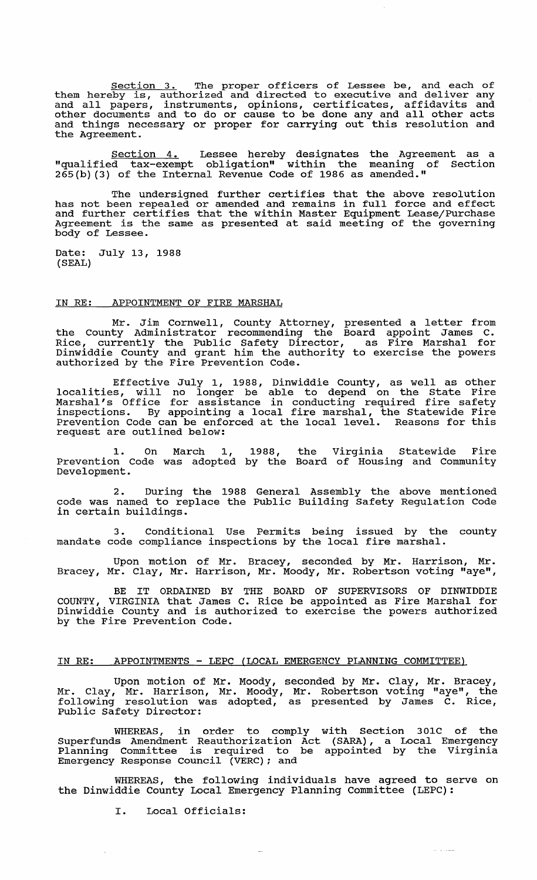section 3. The proper officers of Lessee be, and each of them hereby is, authorized and directed to executive and deliver any and all papers, instruments, opinions, certificates, affidavits and other documents and to do or cause to be done any and all other acts and things necessary or proper for carrying out this resolution and the Agreement.

section 4. Lessee hereby designates the Agreement as a "qualified tax-exempt obligation" within the meaning of Section 265(b) (3) of the Internal Revenue Code of 1986 as amended."

The undersigned further certifies that the above resolution has not been repealed or amended and remains in full force and effect and further certifies that the within Master Equipment Lease/Purchase and further certifies that the within haster Equipment hease/furthase<br>Agreement is the same as presented at said meeting of the governing<br>body of Lessee.

Date: July 13, 1988 (SEAL)

### IN RE: APPOINTMENT OF FIRE MARSHAL

Mr. Jim Cornwell, County Attorney, presented a letter from the County Administrator recommending the Board appoint James C. Rice, currently the Public Safety Director, as Fire Marshal for Dinwiddie County and grant him the authority to exercise the powers authorized by the Fire Prevention Code.

Effective July 1, 1988, Dinwiddie County, as well as other localities, will no longer be able to depend on the State Fire Marshal's Office for assistance in conducting required fire safety inspections. By appointing a local fire marshal, the statewide Fire Inspections. By appointing a focal fife marshal, the beatewide fife<br>Prevention Code can be enforced at the local level. Reasons for this request are outlined below:

1. On March 1, 1988, the Virginia statewide Fire Prevention Code was adopted by the Board of Housing and Community Development.

2. During the 1988 General Assembly the above mentioned code was named to replace the Public Building Safety Regulation Code in certain buildings.

3. Conditional Use Permits being issued by the county mandate code compliance inspections by the local fire marshal.

Upon motion of Mr. Bracey, seconded by Mr. Harrison, Mr. Bracey, Mr. Clay, Mr. Harrison, Mr. Moody, Mr. Robertson voting "aye",

BE IT ORDAINED BY THE BOARD OF SUPERVISORS OF DINWIDDIE COUNTY, VIRGINIA that James C. Rice be appointed as Fire Marshal for Dinwiddie County and is authorized to exercise the powers authorized by the Fire Prevention Code.

### IN RE: APPOINTMENTS - LEPC (LOCAL EMERGENCY PLANNING COMMITTEE)

Upon motion of Mr. Moody, seconded by Mr. Clay, Mr. Bracey, Mr. Clay, Mr. Harrison, Mr. Moody, Mr. Robertson voting "aye", the following resolution was adopted, as presented by James C. Rice, Public Safety Director:

WHEREAS, in order to comply with section 301C of the Superfunds Amendment Reauthorization Act (SARA), a Local Emergency Planning Committee is required to be appointed by the Virginia Emergency Response Council (VERC); and

WHEREAS, the following individuals have agreed to serve on the Dinwiddie County Local Emergency Planning Committee (LEPC):

ш.

ستدب بالدائد

I. Local Officials: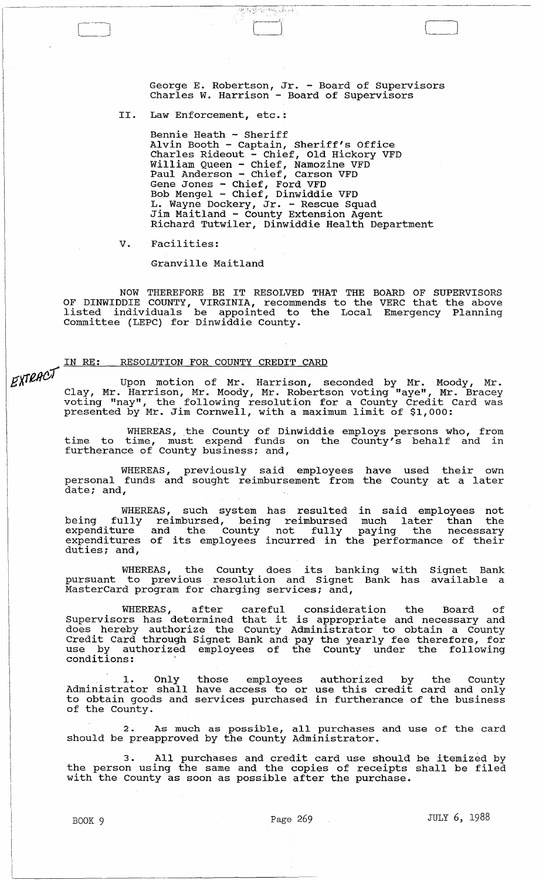George E. Robertson, Jr. - Board of Supervisors Charles W. Harrison - Board of Supervisors

**PARTICLE CONTROLLER** 

II. Law Enforcement, etc.:

Bennie Heath - Sheriff Alvin Booth - Captain, Sheriff's Office Charles Rideout - Chief, Old Hickory VFD William Queen - Chief, Namozine VFD Paul Anderson - Chief, Carson VFD Gene Jones - Chief, Ford VFD Bob Mengel - Chief, Dinwiddie VFD L. Wayne Dockery, Jr. - Rescue Squad Jim Maitland - County Extension Agent Richard Tutwiler, Dinwiddie Health Department

V. Facilities:

Granville Maitland

NOW THEREFORE BE IT RESOLVED THAT THE BOARD OF SUPERVISORS OF DINWIDDIE COUNTY, VIRGINIA, recommends to the VERC that the above listed individuals be appointed to the Local Emergency Planning Committee (LEPC) for Dinwiddie County.

IN RE: RESOLUTION FOR COUNTY CREDIT CARD

 $EXTERCT$ Upon motion of Mr. Harrison, seconded by Mr. Moody, Mr. Clay, Mr. Harrison, Mr. Moody, Mr. Robertson voting "aye", Mr. Bracey voting "nay", the following resolution for a County Credit Card was presented by Mr. Jim Cornwell, with a maximum limit of \$1,000:

> WHEREAS, the County of Dinwiddie employs persons who, from time to time, must expend funds on the County's behalf and in furtherance of County business; and,

> WHEREAS, previously said employees have used their own personal funds and sought reimbursement from the County at a later date; and,

> WHEREAS, such system has resulted in said employees not being fully reimbursed, being reimbursed much later than the expenditure and the County not fully paying the necessary expenditure and the county not fuily paying the necessary<br>expenditures of its employees incurred in the performance of their duties; and,

> WHEREAS, the County does its banking with pursuant to previous resolution and Signet Bank has MasterCard program for charging services; and, Signet Bank available a

> WHEREAS, after careful consideration the Board of Supervisors has determined that it is appropriate and necessary and does hereby authorize the County Administrator to obtain a County Credit Card through Signet Bank and pay the yearly fee therefore, for use by authorized employees of the County under the following conditions:

> 1. Only Administrator shall to obtain goods and services purchased in furtherance of the business of the County. those employees authorized by the County have access to or use this credit card and only

> 2. As much as possible, all purchases and use of the card should be preapproved by the County Administrator.

> All purchases and credit card use should be itemized by the person using the same and the copies of receipts shall be filed with the County as soon as possible after the purchase.

l  $\mathcal{L}_\text{max}$  and  $\mathcal{L}_\text{max}$  and  $\mathcal{L}_\text{max}$  and  $\mathcal{L}_\text{max}$  and  $\mathcal{L}_\text{max}$  and  $\mathcal{L}_\text{max}$ 

I I

 $\vert$ I  $\vert$ 

 $\bigcup$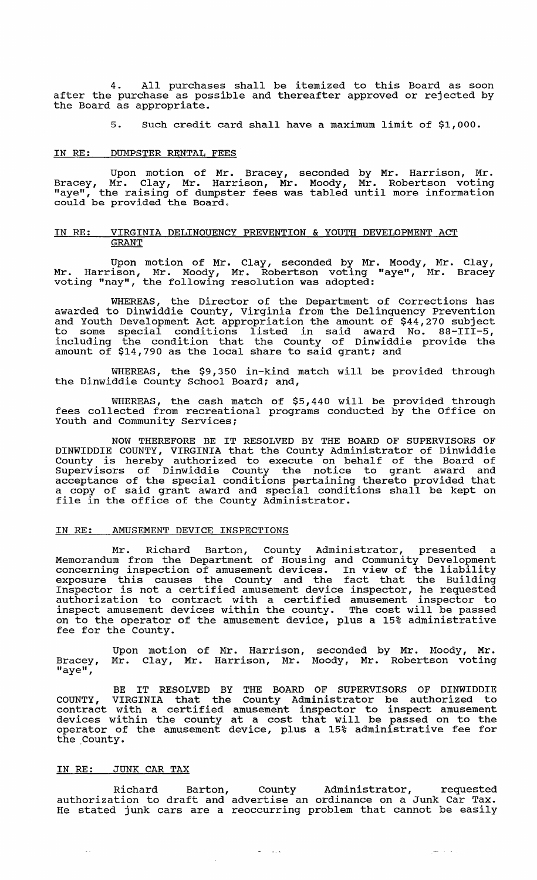4. All purchases shall be itemized to this Board as soon after the purchase as possible and thereafter approved or rejected by the Board as appropriate.

5. Such credit card shall have a maximum limit of \$1,000.

### IN RE: DUMPSTER RENTAL FEES

Upon motion of Mr. Bracey, seconded by Mr. Harrison, Mr. Bracey, Mr. Clay, Mr. Harrison, Mr. Moody, Mr. Robertson voting  $\max_{y}$ , in:  $\max_{y}$ , in: narrison, in: nood,, in: nobelessn vocing could be provided the Board.

# IN RE: VIRGINIA DELINQUENCY PREVENTION & YOUTH DEVELOPMENT ACT **GRANT**

Upon motion of Mr. Clay, seconded by Mr. Moody, Mr. Clay, Mr. Harrison, Mr. Moody, Mr. Robertson voting "aye", Mr. Bracey voting "nay", the following resolution was adopted:

WHEREAS, the Director of the Department of Corrections has awarded to Dinwiddie County, Virginia from the Delinquency Prevention and Youth Development Act appropriation the amount of \$44,270 subject to some special conditions listed in said award No. 88-III-5, including the condition that the county of Dinwiddie provide the amount of \$14,790 as the local share to said grant; and

WHEREAS, the \$9,350 in-kind match will be provided through the Dinwiddie County School Board; and,

WHEREAS, the cash match of \$5,440 will be provided through fees collected from recreational programs conducted by the Office on Youth and Community Services;

NOW THEREFORE BE IT RESOLVED BY THE BOARD OF SUPERVISORS OF DINWIDDIE COUNTY, VIRGINIA that the County Administrator of Dinwiddie County is hereby authorized to execute on behalf of the Board of Supervisors of Dinwiddie County the notice to grant award and supervisors or binwiddle councy and hosice to grane dward and a copy of said grant award and special conditions shall be kept on a copy of said grant award and special condit<br>file in the office of the County Administrator.

### IN RE: AMUSEMENT DEVICE INSPECTIONS

Mr. Richard Barton, County Administrator, presented a Memorandum from the Department of Housing and Community Development concerning inspection of amusement devices. In view of the liability exposure this causes the County and the fact that the Building Inspector is not a certified amusement device inspector, he requested authorization to contract with a certified amusement inspector to inspect amusement devices within the county. The cost will be passed on to the operator of the amusement device, plus a 15% administrative fee for the County.

Bracey, "aye", Upon motion of Mr. Harrison, Mr. Clay, Mr. Harrison, Mr. seconded by Mr. Moody, Mr. Moody, Mr. Robertson voting

BE IT RESOLVED BY THE BOARD OF SUPERVISORS OF DINWIDDIE COUNTY, VIRGINIA that the County Administrator be authorized to contract with a certified amusement inspector to inspect amusement devices within the county at a cost that will be passed on to the operator of the amusement device, plus a 15% administrative fee for the County.

### IN RE: JUNK CAR TAX

 $\mathcal{L}^{\mathcal{L}}$ 

Richard Barton, County Administrator, requested authorization to draft and advertise an ordinance on a Junk Car Tax. He stated junk cars are a reoccurring problem that cannot be easily

 $\omega_{\rm c} = -\omega_{\rm c}$  .

 $\mathcal{L}_{\mathcal{A}}$ 

الحالف السي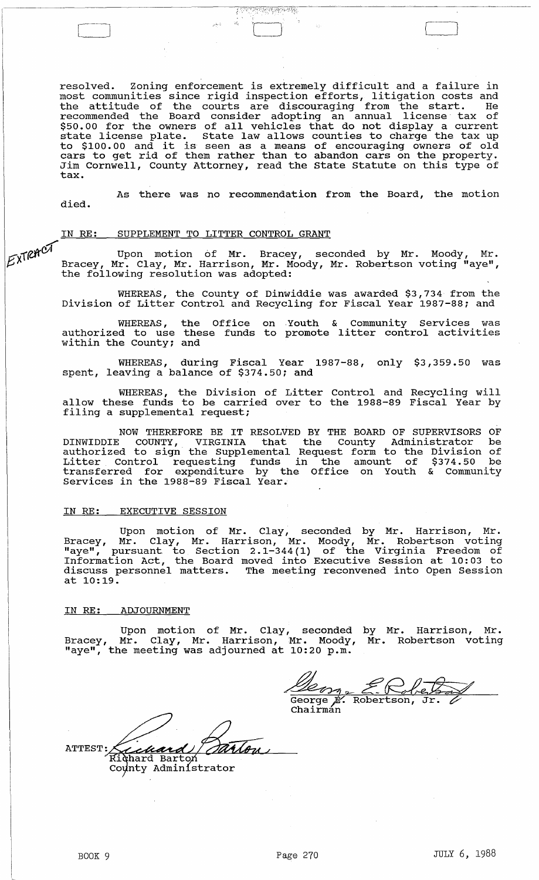resolved. Zoning enforcement is extremely difficult and a failure in most communities since rigid inspection efforts, litigation costs and most communities since rigid inspection efforts, fitigation costs and<br>the attitude of the courts are discouraging from the start. He recommended the Board consider adopting an annual license' tax of \$50.00 for the owners of all vehicles that do not display a current s'tate license plate. state law allows counties to charge the tax up to \$100.00 and it is seen as a means of encouraging owners of old cars to get rid of them rather than to abandon cars on the property. Jim Cornwell, county Attorney, read the state statute on this type of tax.

As there was no recommendation from the Board, the motion died.

## IN RE: SUPPLEMENT TO LITTER CONTROL GRANT

[--l L\_J

EXTRACT  $\sigma_{\text{V}}$   $\mathcal{C}^{\text{V}}$  Upon motion of Mr. Bracey, seconded by Mr. Moody, Mr.  $E^{X1 \cdot 100}$  Bracey, Mr. Clay, Mr. Harrison, Mr. Moody, Mr. Robertson voting "aye", the following resolution was adopted:

> WHEREAS, the County of Dinwiddie was awarded \$3,734 from the Division of Litter Control and Recycling for Fiscal Year 1987-88; and

> WHEREAS, the Office on Youth & community services was where it is the office on youth a community services was<br>authorized to use these funds to promote litter control activities within the County; and

> WHEREAS, during Fiscal Year 1987-88, only \$3,359.50 was spent, leaving a balance of \$374.50; and

> WHEREAS, the Division of Litter Control and Recycling will allow these funds to be carried over to the 1988-89 Fiscal Year by filing a supplemental request;

> NOW THEREFORE BE IT RESOLVED BY THE BOARD OF SUPERVISORS OF DINWIDDIE COUNTY, VIRGINIA that the County Administrator be authorized to sign the Supplemental Request form to the Division of Litter Control requesting funds in the amount of \$374.50 be transferred for expenditure by the Office on youth & Community services in the 1988-89 Fiscal Year.

# IN RE: EXECUTIVE SESSION

Upon motion of Mr. Clay, seconded by Mr. Harrison, Mr. Bracey, Mr. Clay, Mr. Harrison, Mr. Moody, Mr. Robertson voting Liddcy, H. Clay, H. Harrison, H. Hoody, H. Robertson voting<br>"aye", pursuant to Section 2.1-344(1) of the Virginia Freedom of Information Act, the Board moved into Executive Session at 10:03 to discuss personnel matters. The meeting reconvened into Open Session discuss personnel matters.<br>at 10:19.

# IN RE: ADJOURNMENT

Upon motion of Mr. Clay, seconded Bracey, Mr. Clay, Mr. Harrison, Mr. Moody, bracey, mr. cray, mr. narrison, mr. noody,<br>"aye", the meeting was adjourned at 10:20 p.m. by Mr. Harrison, Mr. Mr. Robertson voting

Henne E. Robe<del>lson</del>

Chairmán

ATTEST: sarlon Kekard County Administrator